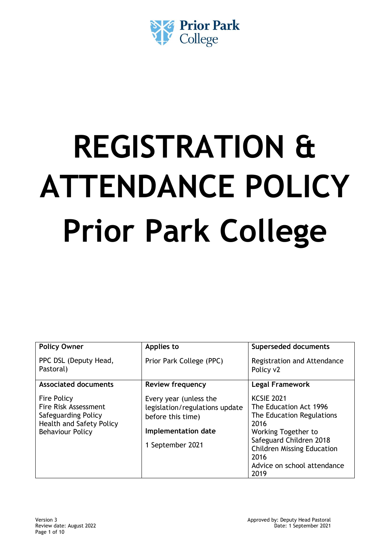

# **REGISTRATION & ATTENDANCE POLICY Prior Park College**

| <b>Policy Owner</b>                                                                                                                    | Applies to                                                                                                               | <b>Superseded documents</b>                                                                                                                                                                                            |
|----------------------------------------------------------------------------------------------------------------------------------------|--------------------------------------------------------------------------------------------------------------------------|------------------------------------------------------------------------------------------------------------------------------------------------------------------------------------------------------------------------|
| PPC DSL (Deputy Head,<br>Pastoral)                                                                                                     | Prior Park College (PPC)                                                                                                 | Registration and Attendance<br>Policy v2                                                                                                                                                                               |
| <b>Associated documents</b>                                                                                                            | <b>Review frequency</b>                                                                                                  | <b>Legal Framework</b>                                                                                                                                                                                                 |
| <b>Fire Policy</b><br><b>Fire Risk Assessment</b><br>Safeguarding Policy<br><b>Health and Safety Policy</b><br><b>Behaviour Policy</b> | Every year (unless the<br>legislation/regulations update<br>before this time)<br>Implementation date<br>1 September 2021 | <b>KCSIE 2021</b><br>The Education Act 1996<br>The Education Regulations<br>2016<br>Working Together to<br>Safeguard Children 2018<br><b>Children Missing Education</b><br>2016<br>Advice on school attendance<br>2019 |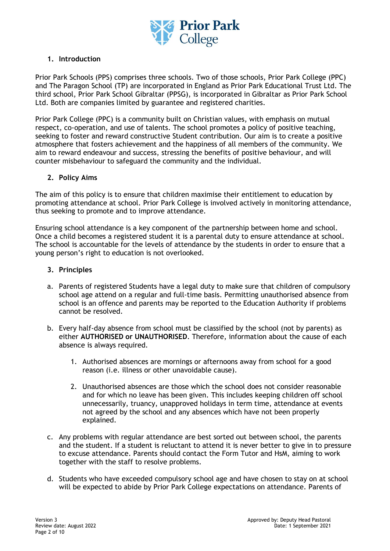

# **1. Introduction**

Prior Park Schools (PPS) comprises three schools. Two of those schools, Prior Park College (PPC) and The Paragon School (TP) are incorporated in England as Prior Park Educational Trust Ltd. The third school, Prior Park School Gibraltar (PPSG), is incorporated in Gibraltar as Prior Park School Ltd. Both are companies limited by guarantee and registered charities.

Prior Park College (PPC) is a community built on Christian values, with emphasis on mutual respect, co-operation, and use of talents. The school promotes a policy of positive teaching, seeking to foster and reward constructive Student contribution. Our aim is to create a positive atmosphere that fosters achievement and the happiness of all members of the community. We aim to reward endeavour and success, stressing the benefits of positive behaviour, and will counter misbehaviour to safeguard the community and the individual.

# **2. Policy Aims**

The aim of this policy is to ensure that children maximise their entitlement to education by promoting attendance at school. Prior Park College is involved actively in monitoring attendance, thus seeking to promote and to improve attendance.

Ensuring school attendance is a key component of the partnership between home and school. Once a child becomes a registered student it is a parental duty to ensure attendance at school. The school is accountable for the levels of attendance by the students in order to ensure that a young person's right to education is not overlooked.

# **3. Principles**

- a. Parents of registered Students have a legal duty to make sure that children of compulsory school age attend on a regular and full-time basis. Permitting unauthorised absence from school is an offence and parents may be reported to the Education Authority if problems cannot be resolved.
- b. Every half-day absence from school must be classified by the school (not by parents) as either **AUTHORISED or UNAUTHORISED**. Therefore, information about the cause of each absence is always required.
	- 1. Authorised absences are mornings or afternoons away from school for a good reason (i.e. illness or other unavoidable cause).
	- 2. Unauthorised absences are those which the school does not consider reasonable and for which no leave has been given. This includes keeping children off school unnecessarily, truancy, unapproved holidays in term time, attendance at events not agreed by the school and any absences which have not been properly explained.
- c. Any problems with regular attendance are best sorted out between school, the parents and the student. If a student is reluctant to attend it is never better to give in to pressure to excuse attendance. Parents should contact the Form Tutor and HsM, aiming to work together with the staff to resolve problems.
- d. Students who have exceeded compulsory school age and have chosen to stay on at school will be expected to abide by Prior Park College expectations on attendance. Parents of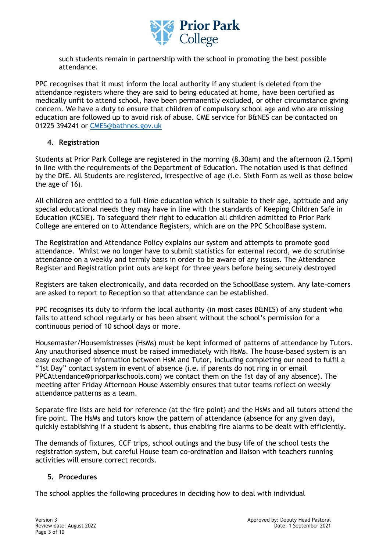

such students remain in partnership with the school in promoting the best possible attendance.

PPC recognises that it must inform the local authority if any student is deleted from the attendance registers where they are said to being educated at home, have been certified as medically unfit to attend school, have been permanently excluded, or other circumstance giving concern. We have a duty to ensure that children of compulsory school age and who are missing education are followed up to avoid risk of abuse. CME service for B&NES can be contacted on 01225 394241 or [CMES@bathnes.gov.uk](mailto:CMES@bathnes.gov.uk)

# **4. Registration**

Students at Prior Park College are registered in the morning (8.30am) and the afternoon (2.15pm) in line with the requirements of the Department of Education. The notation used is that defined by the DfE. All Students are registered, irrespective of age (i.e. Sixth Form as well as those below the age of 16).

All children are entitled to a full-time education which is suitable to their age, aptitude and any special educational needs they may have in line with the standards of Keeping Children Safe in Education (KCSIE). To safeguard their right to education all children admitted to Prior Park College are entered on to Attendance Registers, which are on the PPC SchoolBase system.

The Registration and Attendance Policy explains our system and attempts to promote good attendance. Whilst we no longer have to submit statistics for external record, we do scrutinise attendance on a weekly and termly basis in order to be aware of any issues. The Attendance Register and Registration print outs are kept for three years before being securely destroyed

Registers are taken electronically, and data recorded on the SchoolBase system. Any late-comers are asked to report to Reception so that attendance can be established.

PPC recognises its duty to inform the local authority (in most cases B&NES) of any student who fails to attend school regularly or has been absent without the school's permission for a continuous period of 10 school days or more.

Housemaster/Housemistresses (HsMs) must be kept informed of patterns of attendance by Tutors. Any unauthorised absence must be raised immediately with HsMs. The house-based system is an easy exchange of information between HsM and Tutor, including completing our need to fulfil a "1st Day" contact system in event of absence (i.e. if parents do not ring in or email PPCAttendance@priorparkschools.com) we contact them on the 1st day of any absence). The meeting after Friday Afternoon House Assembly ensures that tutor teams reflect on weekly attendance patterns as a team.

Separate fire lists are held for reference (at the fire point) and the HsMs and all tutors attend the fire point. The HsMs and tutors know the pattern of attendance (absence for any given day), quickly establishing if a student is absent, thus enabling fire alarms to be dealt with efficiently.

The demands of fixtures, CCF trips, school outings and the busy life of the school tests the registration system, but careful House team co-ordination and liaison with teachers running activities will ensure correct records.

#### **5. Procedures**

The school applies the following procedures in deciding how to deal with individual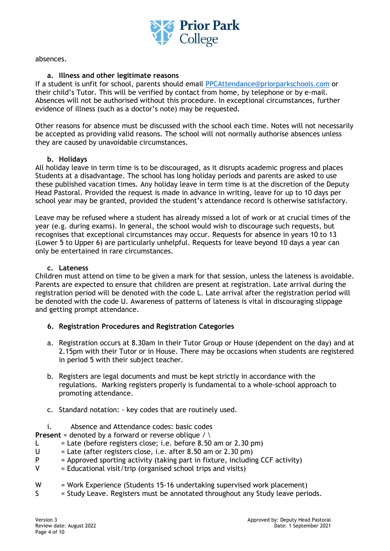

absences.

#### **a. Illness and other legitimate reasons**

If a student is unfit for school, parents should email [PPCAttendance@priorparkschools.com](mailto:PPCAttendance@priorparkschools.com) or their child's Tutor. This will be verified by contact from home, by telephone or by e-mail. Absences will not be authorised without this procedure. In exceptional circumstances, further evidence of illness (such as a doctor's note) may be requested.

Other reasons for absence must be discussed with the school each time. Notes will not necessarily be accepted as providing valid reasons. The school will not normally authorise absences unless they are caused by unavoidable circumstances.

#### **b. Holidays**

All holiday leave in term time is to be discouraged, as it disrupts academic progress and places Students at a disadvantage. The school has long holiday periods and parents are asked to use these published vacation times. Any holiday leave in term time is at the discretion of the Deputy Head Pastoral. Provided the request is made in advance in writing, leave for up to 10 days per school year may be granted, provided the student's attendance record is otherwise satisfactory.

Leave may be refused where a student has already missed a lot of work or at crucial times of the year (e.g. during exams). In general, the school would wish to discourage such requests, but recognises that exceptional circumstances may occur. Requests for absence in years 10 to 13 (Lower 5 to Upper 6) are particularly unhelpful. Requests for leave beyond 10 days a year can only be entertained in rare circumstances.

#### **c. Lateness**

Children must attend on time to be given a mark for that session, unless the lateness is avoidable. Parents are expected to ensure that children are present at registration. Late arrival during the registration period will be denoted with the code L. Late arrival after the registration period will be denoted with the code U. Awareness of patterns of lateness is vital in discouraging slippage and getting prompt attendance.

#### **6. Registration Procedures and Registration Categories**

- a. Registration occurs at 8.30am in their Tutor Group or House (dependent on the day) and at 2.15pm with their Tutor or in House. There may be occasions when students are registered in period 5 with their subject teacher.
- b. Registers are legal documents and must be kept strictly in accordance with the regulations. Marking registers properly is fundamental to a whole-school approach to promoting attendance.
- c. Standard notation: key codes that are routinely used.
- i. Absence and Attendance codes: basic codes

**Present** = denoted by a forward or reverse oblique  $\land \land$ 

- L  $=$  Late (before registers close; i.e. before 8.50 am or 2.30 pm)
- $U =$  Late (after registers close, i.e. after 8.50 am or 2.30 pm)
- $P =$  Approved sporting activity (taking part in fixture, including CCF activity)
- $V =$  Educational visit/trip (organised school trips and visits)
- W = Work Experience (Students 15-16 undertaking supervised work placement)
- S = Study Leave. Registers must be annotated throughout any Study leave periods.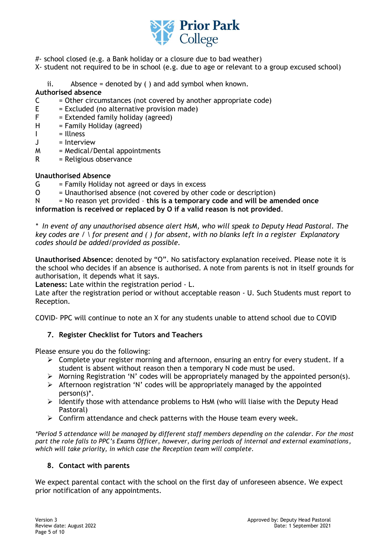

- #- school closed (e.g. a Bank holiday or a closure due to bad weather)
- X- student not required to be in school (e.g. due to age or relevant to a group excused school)
	- ii. Absence = denoted by  $( )$  and add symbol when known.

### **Authorised absence**

- $C =$  Other circumstances (not covered by another appropriate code)
- $E = Excluded$  (no alternative provision made)
- $F =$  Extended family holiday (agreed)<br>H = Family Holiday (agreed)
- $=$  Family Holiday (agreed)
- I = Illness<br>J = Intervi
- $=$  Interview
- $M = Medical/Dental$  appointments
- $R = Religious observance$

#### **Unauthorised Absence**

- $G = F$ amily Holiday not agreed or days in excess
- O = Unauthorised absence (not covered by other code or description)

N = No reason yet provided – **this is a temporary code and will be amended once information is received or replaced by O if a valid reason is not provided**.

*\* In event of any unauthorised absence alert HsM, who will speak to Deputy Head Pastoral. The key codes are / \ for present and ( ) for absent, with no blanks left in a register Explanatory codes should be added/provided as possible.*

**Unauthorised Absence:** denoted by "O". No satisfactory explanation received. Please note it is the school who decides if an absence is authorised. A note from parents is not in itself grounds for authorisation, it depends what it says.

**Lateness:** Late within the registration period - L.

Late after the registration period or without acceptable reason - U. Such Students must report to Reception.

COVID- PPC will continue to note an X for any students unable to attend school due to COVID

# **7. Register Checklist for Tutors and Teachers**

Please ensure you do the following:

- $\triangleright$  Complete your register morning and afternoon, ensuring an entry for every student. If a student is absent without reason then a temporary N code must be used.
- ➢ Morning Registration 'N' codes will be appropriately managed by the appointed person(s).
- ➢ Afternoon registration 'N' codes will be appropriately managed by the appointed person(s)\*.
- $\triangleright$  Identify those with attendance problems to HsM (who will liaise with the Deputy Head Pastoral)
- ➢ Confirm attendance and check patterns with the House team every week.

*\*Period 5 attendance will be managed by different staff members depending on the calendar. For the most part the role falls to PPC's Exams Officer, however, during periods of internal and external examinations, which will take priority, in which case the Reception team will complete.*

#### **8. Contact with parents**

We expect parental contact with the school on the first day of unforeseen absence. We expect prior notification of any appointments.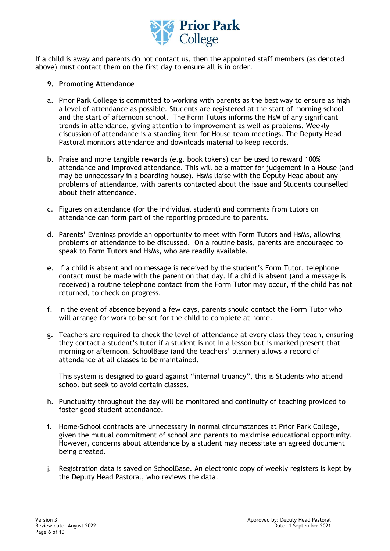

If a child is away and parents do not contact us, then the appointed staff members (as denoted above) must contact them on the first day to ensure all is in order.

#### **9. Promoting Attendance**

- a. Prior Park College is committed to working with parents as the best way to ensure as high a level of attendance as possible. Students are registered at the start of morning school and the start of afternoon school. The Form Tutors informs the HsM of any significant trends in attendance, giving attention to improvement as well as problems. Weekly discussion of attendance is a standing item for House team meetings. The Deputy Head Pastoral monitors attendance and downloads material to keep records.
- b. Praise and more tangible rewards (e.g. book tokens) can be used to reward 100% attendance and improved attendance. This will be a matter for judgement in a House (and may be unnecessary in a boarding house). HsMs liaise with the Deputy Head about any problems of attendance, with parents contacted about the issue and Students counselled about their attendance.
- c. Figures on attendance (for the individual student) and comments from tutors on attendance can form part of the reporting procedure to parents.
- d. Parents' Evenings provide an opportunity to meet with Form Tutors and HsMs, allowing problems of attendance to be discussed. On a routine basis, parents are encouraged to speak to Form Tutors and HsMs, who are readily available.
- e. If a child is absent and no message is received by the student's Form Tutor, telephone contact must be made with the parent on that day. If a child is absent (and a message is received) a routine telephone contact from the Form Tutor may occur, if the child has not returned, to check on progress.
- f. In the event of absence beyond a few days, parents should contact the Form Tutor who will arrange for work to be set for the child to complete at home.
- g. Teachers are required to check the level of attendance at every class they teach, ensuring they contact a student's tutor if a student is not in a lesson but is marked present that morning or afternoon. SchoolBase (and the teachers' planner) allows a record of attendance at all classes to be maintained.

This system is designed to guard against "internal truancy", this is Students who attend school but seek to avoid certain classes.

- h. Punctuality throughout the day will be monitored and continuity of teaching provided to foster good student attendance.
- i. Home-School contracts are unnecessary in normal circumstances at Prior Park College, given the mutual commitment of school and parents to maximise educational opportunity. However, concerns about attendance by a student may necessitate an agreed document being created.
- j. Registration data is saved on SchoolBase. An electronic copy of weekly registers is kept by the Deputy Head Pastoral, who reviews the data.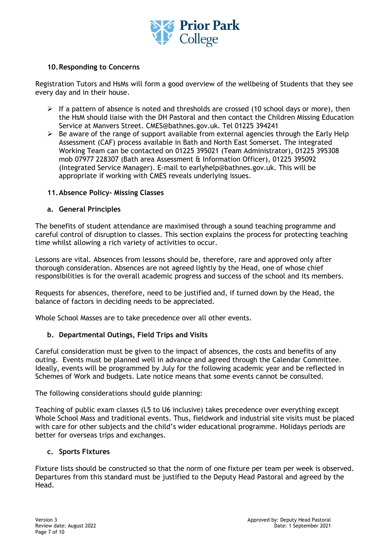

# **10.Responding to Concerns**

Registration Tutors and HsMs will form a good overview of the wellbeing of Students that they see every day and in their house.

- $\triangleright$  If a pattern of absence is noted and thresholds are crossed (10 school days or more), then the HsM should liaise with the DH Pastoral and then contact the Children Missing Education Service at Manvers Street. CMES@bathnes.gov.uk. Tel 01225 394241
- $\triangleright$  Be aware of the range of support available from external agencies through the Early Help Assessment (CAF) process available in Bath and North East Somerset. The integrated Working Team can be contacted on 01225 395021 (Team Administrator), 01225 395308 mob 07977 228307 (Bath area Assessment & Information Officer), 01225 395092 (Integrated Service Manager). E-mail to earlyhelp@bathnes.gov.uk. This will be appropriate if working with CMES reveals underlying issues.

#### **11.Absence Policy- Missing Classes**

#### **a. General Principles**

The benefits of student attendance are maximised through a sound teaching programme and careful control of disruption to classes. This section explains the process for protecting teaching time whilst allowing a rich variety of activities to occur.

Lessons are vital. Absences from lessons should be, therefore, rare and approved only after thorough consideration. Absences are not agreed lightly by the Head, one of whose chief responsibilities is for the overall academic progress and success of the school and its members.

Requests for absences, therefore, need to be justified and, if turned down by the Head, the balance of factors in deciding needs to be appreciated.

Whole School Masses are to take precedence over all other events.

#### **b. Departmental Outings, Field Trips and Visits**

Careful consideration must be given to the impact of absences, the costs and benefits of any outing. Events must be planned well in advance and agreed through the Calendar Committee. Ideally, events will be programmed by July for the following academic year and be reflected in Schemes of Work and budgets. Late notice means that some events cannot be consulted.

The following considerations should guide planning:

Teaching of public exam classes (L5 to U6 inclusive) takes precedence over everything except Whole School Mass and traditional events. Thus, fieldwork and industrial site visits must be placed with care for other subjects and the child's wider educational programme. Holidays periods are better for overseas trips and exchanges.

#### **c. Sports Fixtures**

Fixture lists should be constructed so that the norm of one fixture per team per week is observed. Departures from this standard must be justified to the Deputy Head Pastoral and agreed by the Head.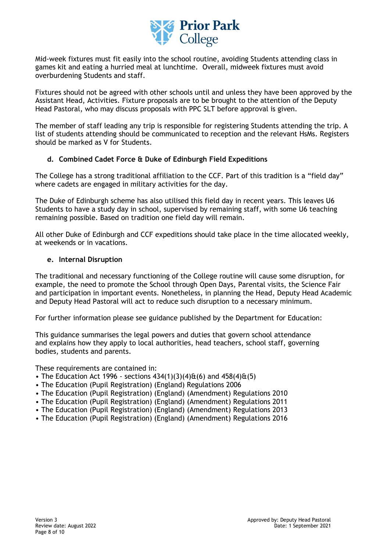

Mid-week fixtures must fit easily into the school routine, avoiding Students attending class in games kit and eating a hurried meal at lunchtime. Overall, midweek fixtures must avoid overburdening Students and staff.

Fixtures should not be agreed with other schools until and unless they have been approved by the Assistant Head, Activities. Fixture proposals are to be brought to the attention of the Deputy Head Pastoral, who may discuss proposals with PPC SLT before approval is given.

The member of staff leading any trip is responsible for registering Students attending the trip. A list of students attending should be communicated to reception and the relevant HsMs. Registers should be marked as V for Students.

# **d. Combined Cadet Force & Duke of Edinburgh Field Expeditions**

The College has a strong traditional affiliation to the CCF. Part of this tradition is a "field day" where cadets are engaged in military activities for the day.

The Duke of Edinburgh scheme has also utilised this field day in recent years. This leaves U6 Students to have a study day in school, supervised by remaining staff, with some U6 teaching remaining possible. Based on tradition one field day will remain.

All other Duke of Edinburgh and CCF expeditions should take place in the time allocated weekly, at weekends or in vacations.

#### **e. Internal Disruption**

The traditional and necessary functioning of the College routine will cause some disruption, for example, the need to promote the School through Open Days, Parental visits, the Science Fair and participation in important events. Nonetheless, in planning the Head, Deputy Head Academic and Deputy Head Pastoral will act to reduce such disruption to a necessary minimum.

For further information please see guidance published by the Department for Education:

This guidance summarises the legal powers and duties that govern school attendance and explains how they apply to local authorities, head teachers, school staff, governing bodies, students and parents.

These requirements are contained in:

- The Education Act 1996 sections  $434(1)(3)(4) \text{ft}(6)$  and  $458(4) \text{ft}(5)$
- The Education (Pupil Registration) (England) Regulations 2006
- The Education (Pupil Registration) (England) (Amendment) Regulations 2010
- The Education (Pupil Registration) (England) (Amendment) Regulations 2011
- The Education (Pupil Registration) (England) (Amendment) Regulations 2013
- The Education (Pupil Registration) (England) (Amendment) Regulations 2016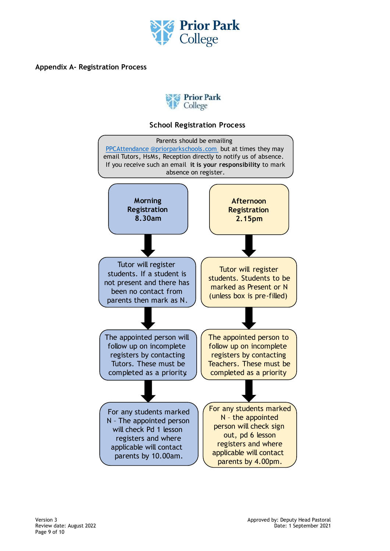

**Appendix A- Registration Process**



# **School Registration Process**